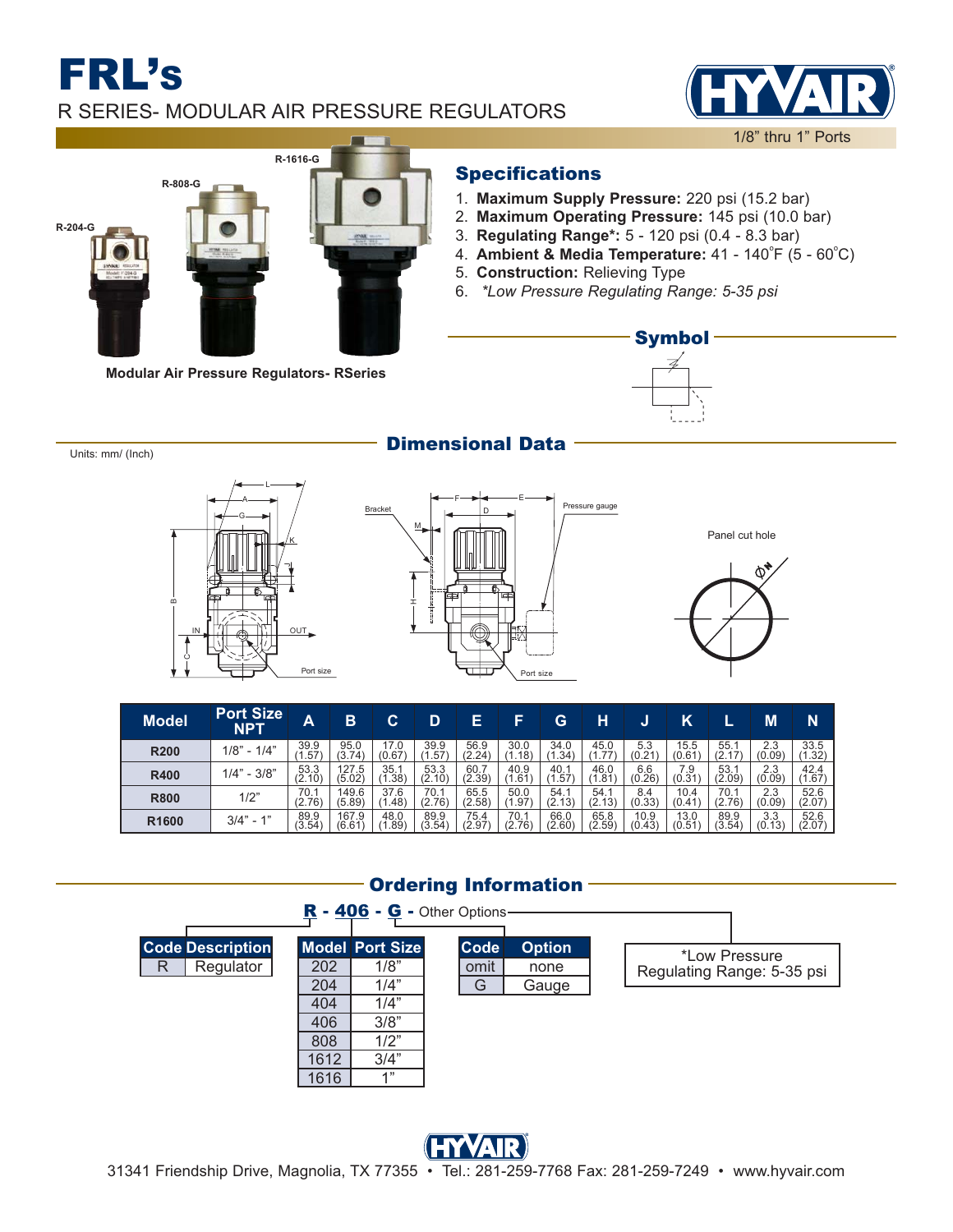## FRL'S R SERIES- MODULAR AIR PRESSURE REGULATORS





**Modular Air Pressure Regulators- RSeries**

### Specifications

- **Maximum Supply Pressure:** 220 psi (15.2 bar) 1.
- **Maximum Operating Pressure:** 145 psi (10.0 bar) 2.
- **Regulating Range\*:** 5 120 psi (0.4 8.3 bar) 3.
- 4. **Ambient & Media Temperature:**  $41 140^{\circ}F (5 60^{\circ}C)$
- **Construction:** Relieving Type 5.
- *\*Low Pressure Regulating Range: 5-35 psi* 6.



Units: mm/ (Inch) **Dimensional Data** 

### L A G K  $\circ$  IN OUT JPort size





| <b>Model</b>      | <b>Port Size</b><br><b>NPT</b> | A              | в               | C              | D              | Е              | F              | G              | н              | υ              | Κ              |                | M             | 'N                    |
|-------------------|--------------------------------|----------------|-----------------|----------------|----------------|----------------|----------------|----------------|----------------|----------------|----------------|----------------|---------------|-----------------------|
| <b>R200</b>       | $1/8" - 1/4"$                  | 39.9<br>. 57   | 95.0<br>(3.74)  | 17.0<br>(0.67) | 39.9<br>.57    | 56.9<br>(2.24) | 30.0<br>(1.18) | 34.0<br>(1.34) | 45.0<br>(1.77) | 5.3<br>(0.21)  | 15.5<br>(0.61) | 55.1<br>(2.17) | 2.3<br>(0.09) | $33.5$<br>(1.32)      |
| <b>R400</b>       | $1/4" - 3/8"$                  | 53.3<br>(2.10) | 127.5<br>(5.02) | 35.1<br>.38)   | 53.3<br>(2.10) | 60.7<br>(2.39) | 40.9<br>(1.61, | 40.1<br>.57    | 46.0<br>(1.81, | 6.6<br>(0.26)  | 7.9<br>(0.31)  | 53.1<br>(2.09) | 2.3<br>(0.09) | 42.4<br>(1.67)        |
| <b>R800</b>       | 1/2"                           | 70.1<br>(2.76) | 149.6<br>(5.89) | 37.6<br>.48    | 70.1<br>(2.76) | 65.5<br>(2.58) | 50.0<br>.97    | 54.1<br>(2.13) | 54.1<br>(2.13) | 8.4<br>(0.33)  | 10.4<br>(0.41) | 70.1<br>(2.76) | 2.3<br>(0.09) | $\frac{52.6}{(2.07)}$ |
| R <sub>1600</sub> | $3/4" - 1"$                    | 89.9<br>(3.54) | 167.9<br>(6.61) | 48.0<br>.89    | 89.9<br>(3.54) | 75.4<br>(2.97) | 70.1<br>(2.76) | 66.0<br>(2.60) | 65.8<br>(2.59) | 10.9<br>(0.43) | 13.0<br>(0.51) | 89.9<br>(3.54) | 3.3<br>(0.13) | $\frac{52.6}{(2.07)}$ |

### **Ordering Information**